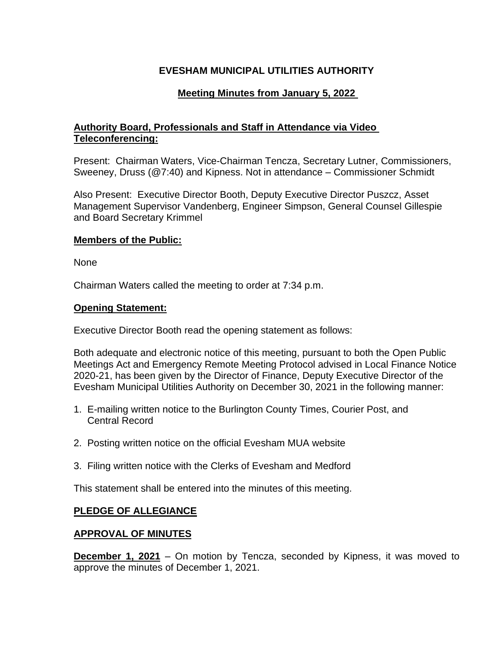# **EVESHAM MUNICIPAL UTILITIES AUTHORITY**

## **Meeting Minutes from January 5, 2022**

## **Authority Board, Professionals and Staff in Attendance via Video Teleconferencing:**

Present: Chairman Waters, Vice-Chairman Tencza, Secretary Lutner, Commissioners, Sweeney, Druss (@7:40) and Kipness. Not in attendance – Commissioner Schmidt

Also Present: Executive Director Booth, Deputy Executive Director Puszcz, Asset Management Supervisor Vandenberg, Engineer Simpson, General Counsel Gillespie and Board Secretary Krimmel

#### **Members of the Public:**

None

Chairman Waters called the meeting to order at 7:34 p.m.

#### **Opening Statement:**

Executive Director Booth read the opening statement as follows:

Both adequate and electronic notice of this meeting, pursuant to both the Open Public Meetings Act and Emergency Remote Meeting Protocol advised in Local Finance Notice 2020-21, has been given by the Director of Finance, Deputy Executive Director of the Evesham Municipal Utilities Authority on December 30, 2021 in the following manner:

- 1. E-mailing written notice to the Burlington County Times, Courier Post, and Central Record
- 2. Posting written notice on the official Evesham MUA website
- 3. Filing written notice with the Clerks of Evesham and Medford

This statement shall be entered into the minutes of this meeting.

### **PLEDGE OF ALLEGIANCE**

### **APPROVAL OF MINUTES**

**December 1, 2021** – On motion by Tencza, seconded by Kipness, it was moved to approve the minutes of December 1, 2021.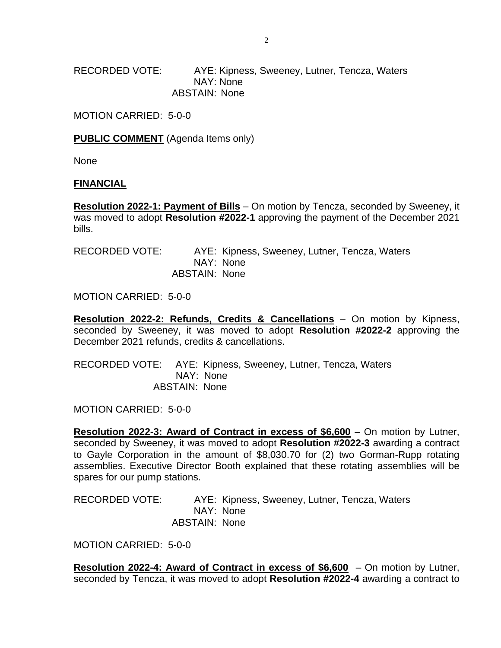RECORDED VOTE: AYE: Kipness, Sweeney, Lutner, Tencza, Waters NAY: None ABSTAIN: None

MOTION CARRIED: 5-0-0

**PUBLIC COMMENT** (Agenda Items only)

None

#### **FINANCIAL**

**Resolution 2022-1: Payment of Bills** – On motion by Tencza, seconded by Sweeney, it was moved to adopt **Resolution #2022-1** approving the payment of the December 2021 bills.

| RECORDED VOTE: |               |           | AYE: Kipness, Sweeney, Lutner, Tencza, Waters |  |  |
|----------------|---------------|-----------|-----------------------------------------------|--|--|
|                |               | NAY: None |                                               |  |  |
|                | ABSTAIN: None |           |                                               |  |  |

MOTION CARRIED: 5-0-0

**Resolution 2022-2: Refunds, Credits & Cancellations** – On motion by Kipness, seconded by Sweeney, it was moved to adopt **Resolution #2022-2** approving the December 2021 refunds, credits & cancellations.

RECORDED VOTE: AYE: Kipness, Sweeney, Lutner, Tencza, Waters NAY: None ABSTAIN: None

MOTION CARRIED: 5-0-0

**Resolution 2022-3: Award of Contract in excess of \$6,600** – On motion by Lutner, seconded by Sweeney, it was moved to adopt **Resolution #2022-3** awarding a contract to Gayle Corporation in the amount of \$8,030.70 for (2) two Gorman-Rupp rotating assemblies. Executive Director Booth explained that these rotating assemblies will be spares for our pump stations.

RECORDED VOTE: AYE: Kipness, Sweeney, Lutner, Tencza, Waters NAY: None ABSTAIN: None

MOTION CARRIED: 5-0-0

**Resolution 2022-4: Award of Contract in excess of \$6,600** – On motion by Lutner, seconded by Tencza, it was moved to adopt **Resolution #2022-4** awarding a contract to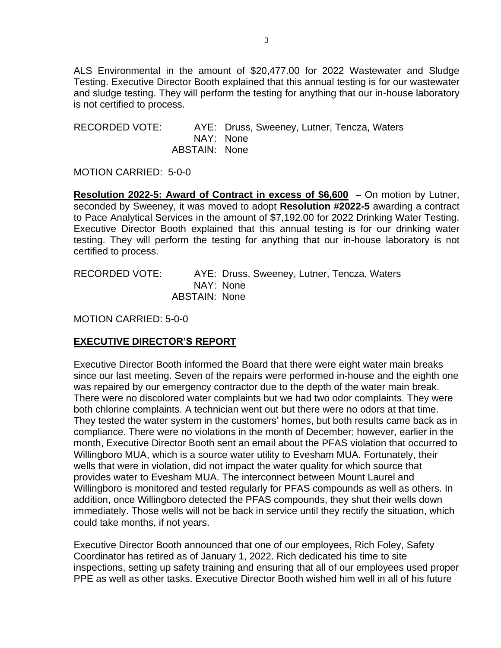ALS Environmental in the amount of \$20,477.00 for 2022 Wastewater and Sludge Testing. Executive Director Booth explained that this annual testing is for our wastewater and sludge testing. They will perform the testing for anything that our in-house laboratory is not certified to process.

RECORDED VOTE: AYE: Druss, Sweeney, Lutner, Tencza, Waters NAY: None ABSTAIN: None

MOTION CARRIED: 5-0-0

**Resolution 2022-5: Award of Contract in excess of \$6,600** – On motion by Lutner, seconded by Sweeney, it was moved to adopt **Resolution #2022-5** awarding a contract to Pace Analytical Services in the amount of \$7,192.00 for 2022 Drinking Water Testing. Executive Director Booth explained that this annual testing is for our drinking water testing. They will perform the testing for anything that our in-house laboratory is not certified to process.

RECORDED VOTE: AYE: Druss, Sweeney, Lutner, Tencza, Waters NAY: None ABSTAIN: None

MOTION CARRIED: 5-0-0

# **EXECUTIVE DIRECTOR'S REPORT**

Executive Director Booth informed the Board that there were eight water main breaks since our last meeting. Seven of the repairs were performed in-house and the eighth one was repaired by our emergency contractor due to the depth of the water main break. There were no discolored water complaints but we had two odor complaints. They were both chlorine complaints. A technician went out but there were no odors at that time. They tested the water system in the customers' homes, but both results came back as in compliance. There were no violations in the month of December; however, earlier in the month, Executive Director Booth sent an email about the PFAS violation that occurred to Willingboro MUA, which is a source water utility to Evesham MUA. Fortunately, their wells that were in violation, did not impact the water quality for which source that provides water to Evesham MUA. The interconnect between Mount Laurel and Willingboro is monitored and tested regularly for PFAS compounds as well as others. In addition, once Willingboro detected the PFAS compounds, they shut their wells down immediately. Those wells will not be back in service until they rectify the situation, which could take months, if not years.

Executive Director Booth announced that one of our employees, Rich Foley, Safety Coordinator has retired as of January 1, 2022. Rich dedicated his time to site inspections, setting up safety training and ensuring that all of our employees used proper PPE as well as other tasks. Executive Director Booth wished him well in all of his future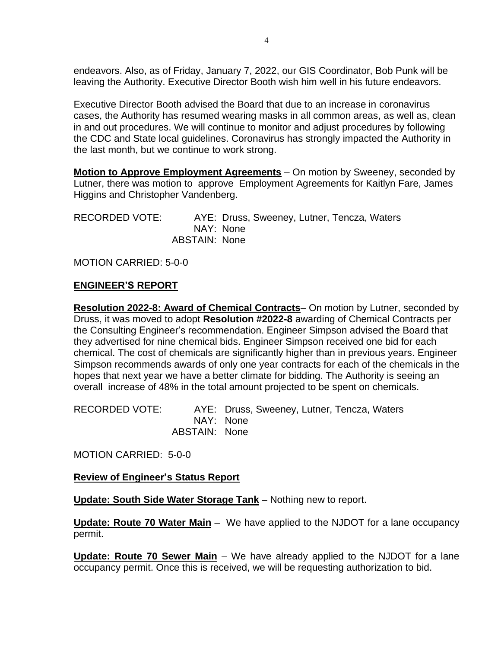endeavors. Also, as of Friday, January 7, 2022, our GIS Coordinator, Bob Punk will be leaving the Authority. Executive Director Booth wish him well in his future endeavors.

Executive Director Booth advised the Board that due to an increase in coronavirus cases, the Authority has resumed wearing masks in all common areas, as well as, clean in and out procedures. We will continue to monitor and adjust procedures by following the CDC and State local guidelines. Coronavirus has strongly impacted the Authority in the last month, but we continue to work strong.

**Motion to Approve Employment Agreements** – On motion by Sweeney, seconded by Lutner, there was motion to approve Employment Agreements for Kaitlyn Fare, James Higgins and Christopher Vandenberg.

RECORDED VOTE: AYE: Druss, Sweeney, Lutner, Tencza, Waters NAY: None ABSTAIN: None

MOTION CARRIED: 5-0-0

### **ENGINEER'S REPORT**

**Resolution 2022-8: Award of Chemical Contracts**– On motion by Lutner, seconded by Druss, it was moved to adopt **Resolution #2022-8** awarding of Chemical Contracts per the Consulting Engineer's recommendation. Engineer Simpson advised the Board that they advertised for nine chemical bids. Engineer Simpson received one bid for each chemical. The cost of chemicals are significantly higher than in previous years. Engineer Simpson recommends awards of only one year contracts for each of the chemicals in the hopes that next year we have a better climate for bidding. The Authority is seeing an overall increase of 48% in the total amount projected to be spent on chemicals.

RECORDED VOTE: AYE: Druss, Sweeney, Lutner, Tencza, Waters NAY: None ABSTAIN: None

MOTION CARRIED: 5-0-0

### **Review of Engineer's Status Report**

**Update: South Side Water Storage Tank** – Nothing new to report.

**Update: Route 70 Water Main** – We have applied to the NJDOT for a lane occupancy permit.

**Update: Route 70 Sewer Main** – We have already applied to the NJDOT for a lane occupancy permit. Once this is received, we will be requesting authorization to bid.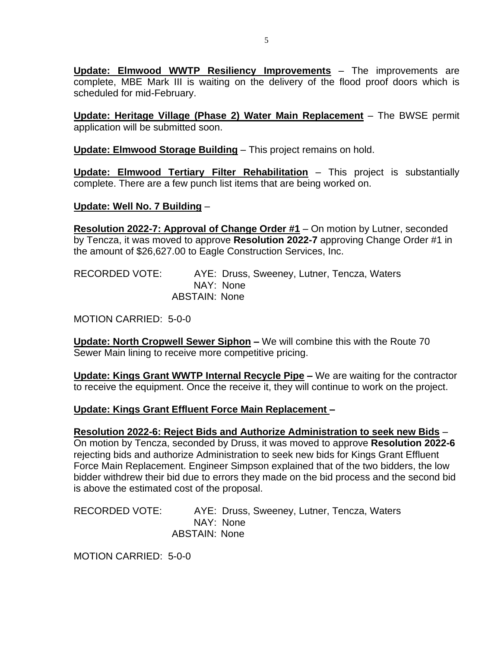**Update: Elmwood WWTP Resiliency Improvements** – The improvements are complete, MBE Mark III is waiting on the delivery of the flood proof doors which is scheduled for mid-February.

**Update: Heritage Village (Phase 2) Water Main Replacement** – The BWSE permit application will be submitted soon.

**Update: Elmwood Storage Building** – This project remains on hold.

**Update: Elmwood Tertiary Filter Rehabilitation** – This project is substantially complete. There are a few punch list items that are being worked on.

### **Update: Well No. 7 Building** –

**Resolution 2022-7: Approval of Change Order #1** – On motion by Lutner, seconded by Tencza, it was moved to approve **Resolution 2022-7** approving Change Order #1 in the amount of \$26,627.00 to Eagle Construction Services, Inc.

RECORDED VOTE: AYE: Druss, Sweeney, Lutner, Tencza, Waters NAY: None ABSTAIN: None

MOTION CARRIED: 5-0-0

**Update: North Cropwell Sewer Siphon –** We will combine this with the Route 70 Sewer Main lining to receive more competitive pricing.

**Update: Kings Grant WWTP Internal Recycle Pipe –** We are waiting for the contractor to receive the equipment. Once the receive it, they will continue to work on the project.

### **Update: Kings Grant Effluent Force Main Replacement –**

#### **Resolution 2022-6: Reject Bids and Authorize Administration to seek new Bids** – On motion by Tencza, seconded by Druss, it was moved to approve **Resolution 2022-6**

rejecting bids and authorize Administration to seek new bids for Kings Grant Effluent Force Main Replacement. Engineer Simpson explained that of the two bidders, the low bidder withdrew their bid due to errors they made on the bid process and the second bid is above the estimated cost of the proposal.

RECORDED VOTE: AYE: Druss, Sweeney, Lutner, Tencza, Waters NAY: None ABSTAIN: None

MOTION CARRIED: 5-0-0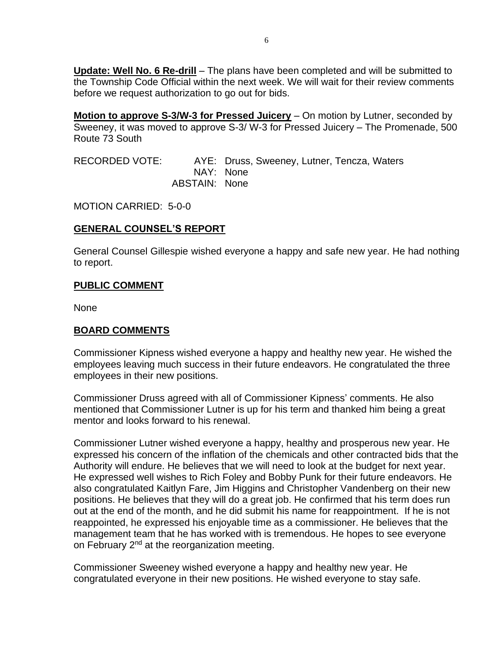**Update: Well No. 6 Re-drill** – The plans have been completed and will be submitted to the Township Code Official within the next week. We will wait for their review comments before we request authorization to go out for bids.

**Motion to approve S-3/W-3 for Pressed Juicery** – On motion by Lutner, seconded by Sweeney, it was moved to approve S-3/ W-3 for Pressed Juicery – The Promenade, 500 Route 73 South

RECORDED VOTE: AYE: Druss, Sweeney, Lutner, Tencza, Waters NAY: None ABSTAIN: None

MOTION CARRIED: 5-0-0

## **GENERAL COUNSEL'S REPORT**

General Counsel Gillespie wished everyone a happy and safe new year. He had nothing to report.

### **PUBLIC COMMENT**

None

# **BOARD COMMENTS**

Commissioner Kipness wished everyone a happy and healthy new year. He wished the employees leaving much success in their future endeavors. He congratulated the three employees in their new positions.

Commissioner Druss agreed with all of Commissioner Kipness' comments. He also mentioned that Commissioner Lutner is up for his term and thanked him being a great mentor and looks forward to his renewal.

Commissioner Lutner wished everyone a happy, healthy and prosperous new year. He expressed his concern of the inflation of the chemicals and other contracted bids that the Authority will endure. He believes that we will need to look at the budget for next year. He expressed well wishes to Rich Foley and Bobby Punk for their future endeavors. He also congratulated Kaitlyn Fare, Jim Higgins and Christopher Vandenberg on their new positions. He believes that they will do a great job. He confirmed that his term does run out at the end of the month, and he did submit his name for reappointment. If he is not reappointed, he expressed his enjoyable time as a commissioner. He believes that the management team that he has worked with is tremendous. He hopes to see everyone on February 2<sup>nd</sup> at the reorganization meeting.

Commissioner Sweeney wished everyone a happy and healthy new year. He congratulated everyone in their new positions. He wished everyone to stay safe.